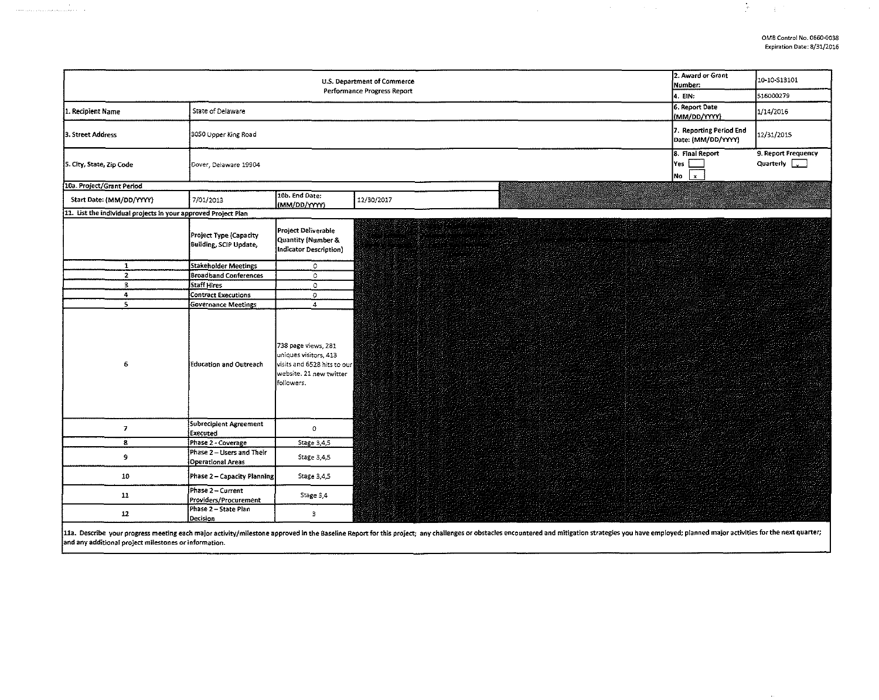$\label{eq:2.1} \mathcal{L}=\frac{1}{2}\left(\frac{1}{2}\left(1-\frac{1}{2}\right)\right)\mathcal{L}=\frac{1}{2}\left(\frac{1}{2}\left(1-\frac{1}{2}\right)\right)\mathcal{L}=\frac{1}{2}\left(\frac{1}{2}\right)\mathcal{L}=\frac{1}{2}\left(\frac{1}{2}\right)\mathcal{L}$ 

 $\mathcal{P}^{(n)}$ 

 $\mathcal{L}(\mathcal{L}(\mathcal{L}))$  is the contribution of the contribution of  $\mathcal{L}(\mathcal{L})$ 

| 2. Award or Grant<br>U.S. Department of Commerce<br>Number:<br>Performance Progress Report |                                                  |                                                                                                                      |                                                                                                                                                                                                                                |                                                  | 10-10-S13101                                |
|--------------------------------------------------------------------------------------------|--------------------------------------------------|----------------------------------------------------------------------------------------------------------------------|--------------------------------------------------------------------------------------------------------------------------------------------------------------------------------------------------------------------------------|--------------------------------------------------|---------------------------------------------|
|                                                                                            | 4. EIN:                                          | 516000279                                                                                                            |                                                                                                                                                                                                                                |                                                  |                                             |
| 1. Recipient Name                                                                          | State of Delaware                                |                                                                                                                      |                                                                                                                                                                                                                                | 6. Report Date<br>(MM/DD/YYYY)                   | 1/14/2016                                   |
| 3. Street Address                                                                          | 3050 Upper King Road                             |                                                                                                                      |                                                                                                                                                                                                                                | 7. Reporting Period End<br>Date: (MM/DD/YYYY)    | 12/31/2015                                  |
| 5. City, State, Zip Code                                                                   | Dover, Delaware 19904                            |                                                                                                                      |                                                                                                                                                                                                                                | 8. Final Report<br> Yes<br>lNo I<br>$\mathbf{x}$ | 9. Report Frequency<br>Quarterly $\sqrt{ }$ |
| 10a. Project/Grant Period                                                                  |                                                  |                                                                                                                      |                                                                                                                                                                                                                                |                                                  |                                             |
| Start Date: (MM/DD/YYYY)                                                                   | 7/01/2013                                        | 10b. End Date:<br>(MM/DD/YYYY)                                                                                       | 12/30/2017                                                                                                                                                                                                                     |                                                  |                                             |
| 11. List the individual projects in your approved Project Plan                             |                                                  |                                                                                                                      |                                                                                                                                                                                                                                |                                                  |                                             |
|                                                                                            | Project Type (Capacity<br>Building, SCIP Update, | Project Deliverable<br>Quantity (Number &<br>Indicator Description)                                                  | en propinsier                                                                                                                                                                                                                  |                                                  |                                             |
| $\mathbf{1}$                                                                               | Stakeholder Meetings                             | $\circ$                                                                                                              |                                                                                                                                                                                                                                |                                                  |                                             |
| $\overline{2}$                                                                             | <b>Broadband Conferences</b>                     | $\circ$                                                                                                              |                                                                                                                                                                                                                                |                                                  |                                             |
| $\mathbf{3}$                                                                               | Staff Hires                                      | $\mathbf{o}$                                                                                                         |                                                                                                                                                                                                                                |                                                  |                                             |
| 4                                                                                          | Contract Executions                              | $\bullet$                                                                                                            |                                                                                                                                                                                                                                |                                                  |                                             |
| $5^{\circ}$                                                                                | <b>Governance Meetings</b>                       | $\overline{4}$                                                                                                       |                                                                                                                                                                                                                                |                                                  |                                             |
| 6                                                                                          | Education and Outreach                           | 738 page views, 281<br>uniques visitors, 413<br>visits and 6528 hits to our<br>website. 21 new twitter<br>followers. |                                                                                                                                                                                                                                |                                                  |                                             |
| $\mathbf{z}$                                                                               | Subrecipient Agreement<br>Executed               | $\bullet$                                                                                                            |                                                                                                                                                                                                                                |                                                  |                                             |
| 8                                                                                          | Phase 2 - Coverage                               | Stage 3,4,5                                                                                                          |                                                                                                                                                                                                                                |                                                  |                                             |
| 9                                                                                          | Phase 2 – Users and Their<br>Operational Areas   | Stage 3,4,5                                                                                                          |                                                                                                                                                                                                                                |                                                  |                                             |
| 10                                                                                         | Phase 2 - Capacity Planning                      | Stage 3,4,5                                                                                                          |                                                                                                                                                                                                                                |                                                  |                                             |
| 11                                                                                         | Phase 2 - Current<br>Providers/Procurement       | Stage 3,4                                                                                                            |                                                                                                                                                                                                                                |                                                  |                                             |
| $12\,$                                                                                     | Phase 2 - State Plan<br>Decision                 | $\mathsf b$                                                                                                          |                                                                                                                                                                                                                                |                                                  |                                             |
|                                                                                            |                                                  |                                                                                                                      | 11a. Describe your progress meeting each major activity/milestone approved in the Baseline Report for this project; any challenges or obstacles encountered and mitigation strategies you have employed; planned major activit |                                                  |                                             |

and any additional project milestones or information.

والمتأمر وأستستحدث والمتحدث والمتحدث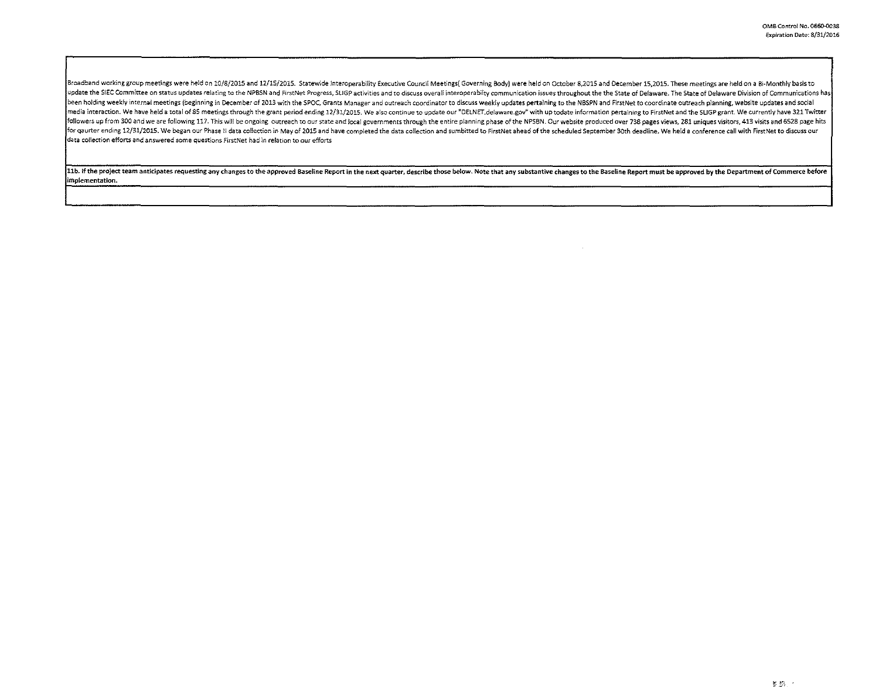Broadband working group meetings were held on 10/8/2015 and 12/15/2015. Statewide Interoperability Executive Council Meetings (Governing Body) were held on October 8,2015 and December 15,2015. These meetings are held on a update the SIEC Committee on status updates relating to the NPBSN and FirstNet Progress, SLIGP activities and to discuss overall interoperabilty communication issues throughout the the State of Delaware. The State of Delaw been holding weekly internal meetings (beginning in December of 2013 with the SPOC, Grants Manager and outreach coordinator to discuss weekly updates pertaining to the NBSPN and FirstNet to coordinate outreach planning, we media interaction. We have held a total of 85 meetings through the grant period ending 12/31/2015. We also continue to update our "DELNET delaware gov" with up todate information pertaining to FirstNet and the SLIGP grant. followers up from 300 and we are following 117. This will be ongoing outreach to our state and local governments through the entire planning phase of the NPSBN. Our website produced over 738 pages views, 281 uniques visito for qaurter ending 12/31/2015. We began our Phase II data collection in May of 2015 and have completed the data collection and sumbitted to FirstNet ahead of the scheduled September 30th deadline. We held a conference call data collection efforts and answered some questions First Net had in relation to our efforts

11b. If the project team anticipates requesting any changes to the approved Baseline Report in the next quarter, describe those below. Note that any substantive changes to the Baseline Report must be approved by the Depart

 $\sim$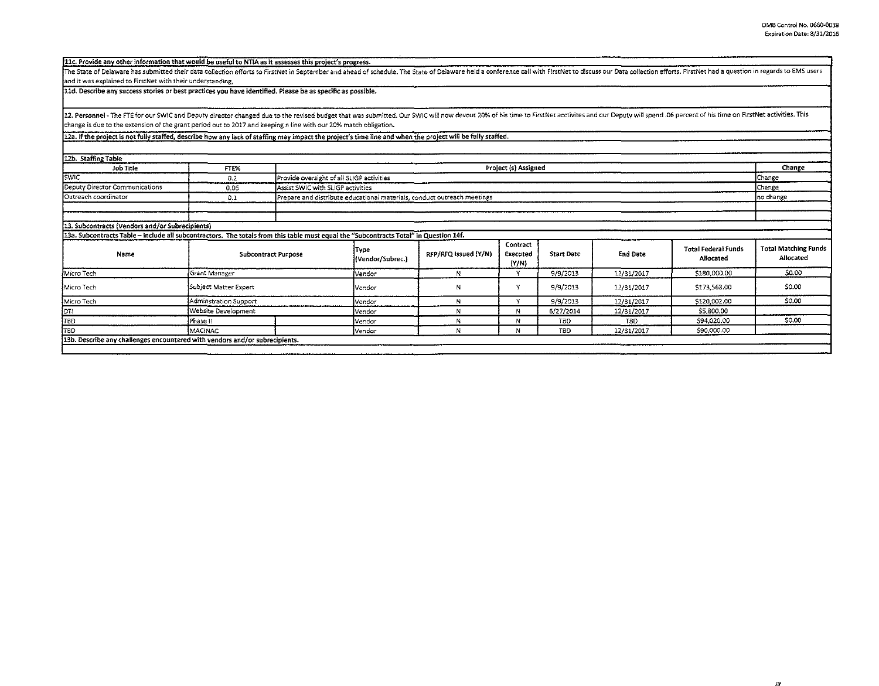11c. Provide any other information that would be useful to NTIA as it assesses this project's progress.

The State of Delaware has submitted their data collection efforts to FirstNet in September and ahead of schedule. The State of Delaware held a conference call with FirstNet to discuss our Data collection efforts. FirstNet and it was explained to FirstNet with their understanding,

11d. Describe any success stories or best practices you have identified. Please be as specific as possible.

12. Personnel - The FTE for our SWIC and Deputy director changed due to the revised budget that was submitted. Our SWIC will now devout 20% of his time to FirstNet acctivites and our Deputy will spend .06 percent of his ti change is due to the extension of the grant period out to 2017 and keeping nline with our 20% match obligation.

12a. If the project is not fully staffed, describe how any lack of staffing may impact the project's time line and when the project will be fully staffed.

| 12b. Staffing Table                             |                                                                                                                                       |                                           |                                                                         |                      |                               |                   |                  |                                         |                                          |
|-------------------------------------------------|---------------------------------------------------------------------------------------------------------------------------------------|-------------------------------------------|-------------------------------------------------------------------------|----------------------|-------------------------------|-------------------|------------------|-----------------------------------------|------------------------------------------|
| Job Title                                       | FTE%                                                                                                                                  | Project (s) Assigned                      |                                                                         |                      |                               |                   |                  |                                         | Change                                   |
| <b>SWIC</b>                                     | 0.2                                                                                                                                   | Provide oversight of all SLIGP activities |                                                                         |                      |                               |                   |                  | Change                                  |                                          |
| Deputy Director Communications                  | 0.06                                                                                                                                  | Assist SWIC with SLIGP activities         |                                                                         |                      |                               |                   | Change           |                                         |                                          |
| Outreach coordinator                            | 0.1                                                                                                                                   |                                           | Prepare and distribute educational materials, conduct outreach meetings |                      |                               |                   |                  |                                         |                                          |
|                                                 |                                                                                                                                       |                                           |                                                                         |                      |                               |                   |                  |                                         |                                          |
|                                                 |                                                                                                                                       |                                           |                                                                         |                      |                               |                   |                  |                                         |                                          |
| 13. Subcontracts (Vendors and/or Subrecipients) |                                                                                                                                       |                                           |                                                                         |                      |                               |                   |                  |                                         |                                          |
|                                                 | 13a. Subcontracts Table - include all subcontractors. The totals from this table must equal the "Subcontracts Total" in Question 14f. |                                           |                                                                         |                      |                               |                   |                  |                                         |                                          |
| Name                                            |                                                                                                                                       | <b>Subcontract Purpose</b>                |                                                                         | RFP/RFQ Issued (Y/N) | Contract<br>Executed<br>(Y/N) | <b>Start Date</b> | <b>End Date</b>  | <b>Total Federal Funds</b><br>Allocated | <b>Total Matching Funds</b><br>Allocated |
| Micro Tech                                      | Grant Manager                                                                                                                         |                                           |                                                                         | N                    | $\ddot{\phantom{1}}$          | 9/9/2013          | 12/31/2017       | \$180,000.00                            | \$0.00                                   |
| Micro Tech                                      | Subject Matter Expert                                                                                                                 |                                           |                                                                         | N                    | v                             | 9/9/2013          | 12/31/2017       | \$173,563.00                            | \$0.00                                   |
| Micro Tech                                      | Adminstration Support                                                                                                                 |                                           |                                                                         | N                    | $\ddot{\phantom{0}}$          | 9/9/2013          | 12/31/2017       | \$120,002.00                            | \$0.00                                   |
| <b>FOT!</b>                                     | Website Development                                                                                                                   |                                           |                                                                         | N                    | N                             | 6/27/2014         | 12/31/2017       | \$5,800.00                              |                                          |
| ļтвd                                            | Phase II                                                                                                                              |                                           | Vendor                                                                  |                      | N                             | TBD               | T <sub>8</sub> D | \$94,020.00                             | \$0.00                                   |
| TBD                                             | MACINAC                                                                                                                               |                                           | Vendor                                                                  |                      | N                             | T <sub>8</sub> D  | 12/31/2017       | 590,000.00                              |                                          |
|                                                 | 13b. Describe any challenges encountered with vendors and/or subrecipients.                                                           |                                           |                                                                         |                      |                               |                   |                  |                                         |                                          |